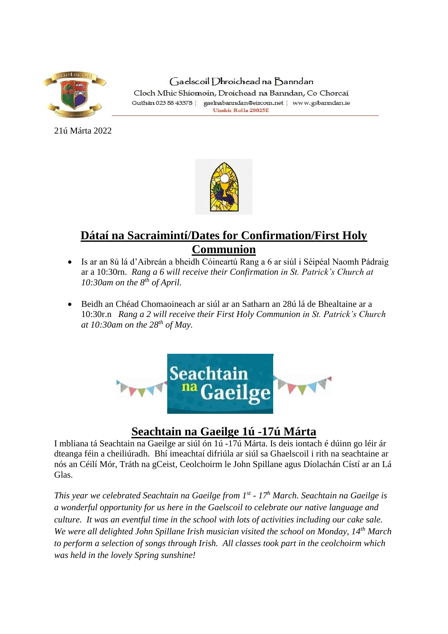

Gaelscoil Dhroichead na Banndan Cloch Mhic Shíomoin, Droichead na Banndan, Co Chorcaí Guthán 023 88 43378 | gaelnabanndan@eircom.net | www.gsbanndan.ie Uimhir Rolla 20025E

21ú Márta 2022



# **Dátaí na Sacraimintí/Dates for Confirmation/First Holy Communion**

- Is ar an 8ú lá d'Aibreán a bheidh Cóineartú Rang a 6 ar siúl i Séipéal Naomh Pádraig ar a 10:30rn. *Rang a 6 will receive their Confirmation in St. Patrick's Church at 10:30am on the 8th of April.*
- Beidh an Chéad Chomaoineach ar siúl ar an Satharn an 28ú lá de Bhealtaine ar a 10:30r.n *Rang a 2 will receive their First Holy Communion in St. Patrick's Church at 10:30am on the 28th of May.*



### **Seachtain na Gaeilge 1ú -17ú Márta**

I mbliana tá Seachtain na Gaeilge ar siúl ón 1ú -17ú Márta. Is deis iontach é dúinn go léir ár dteanga féin a cheiliúradh. Bhí imeachtaí difriúla ar siúl sa Ghaelscoil i rith na seachtaine ar nós an Céilí Mór, Tráth na gCeist, Ceolchoirm le John Spillane agus Díolachán Cístí ar an Lá Glas.

*This year we celebrated Seachtain na Gaeilge from 1st - 17<sup>h</sup> March. Seachtain na Gaeilge is a wonderful opportunity for us here in the Gaelscoil to celebrate our native language and culture. It was an eventful time in the school with lots of activities including our cake sale. We were all delighted John Spillane Irish musician visited the school on Monday, 14th March to perform a selection of songs through Irish. All classes took part in the ceolchoirm which was held in the lovely Spring sunshine!*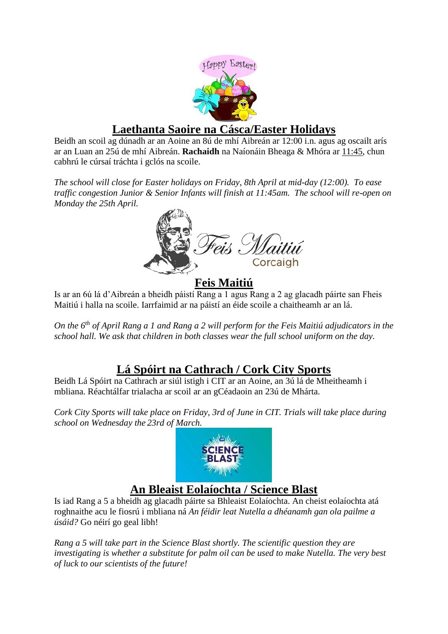

### **Laethanta Saoire na Cásca/Easter Holidays**

Beidh an scoil ag dúnadh ar an Aoine an 8ú de mhí Aibreán ar 12:00 i.n. agus ag oscailt arís ar an Luan an 25ú de mhí Aibreán. **Rachaidh** na Naíonáin Bheaga & Mhóra ar 11:45, chun cabhrú le cúrsaí tráchta i gclós na scoile.

*The school will close for Easter holidays on Friday, 8th April at mid-day (12:00). To ease traffic congestion Junior & Senior Infants will finish at 11:45am. The school will re-open on Monday the 25th April.*



#### **Feis Maitiú**

Is ar an 6ú lá d'Aibreán a bheidh páistí Rang a 1 agus Rang a 2 ag glacadh páirte san Fheis Maitiú i halla na scoile. Iarrfaimid ar na páistí an éide scoile a chaitheamh ar an lá.

*On the 6th of April Rang a 1 and Rang a 2 will perform for the Feis Maitiú adjudicators in the school hall. We ask that children in both classes wear the full school uniform on the day.*

## **Lá Spóirt na Cathrach / Cork City Sports**

Beidh Lá Spóirt na Cathrach ar siúl istigh i CIT ar an Aoine, an 3ú lá de Mheitheamh i mbliana. Réachtálfar trialacha ar scoil ar an gCéadaoin an 23ú de Mhárta.

*Cork City Sports will take place on Friday, 3rd of June in CIT. Trials will take place during school on Wednesday the 23rd of March.*



## **An Bleaist Eolaíochta / Science Blast**

Is iad Rang a 5 a bheidh ag glacadh páirte sa Bhleaist Eolaíochta. An cheist eolaíochta atá roghnaithe acu le fiosrú i mbliana ná *An féidir leat Nutella a dhéanamh gan ola pailme a úsáid?* Go néirí go geal libh!

*Rang a 5 will take part in the Science Blast shortly. The scientific question they are investigating is whether a substitute for palm oil can be used to make Nutella. The very best of luck to our scientists of the future!*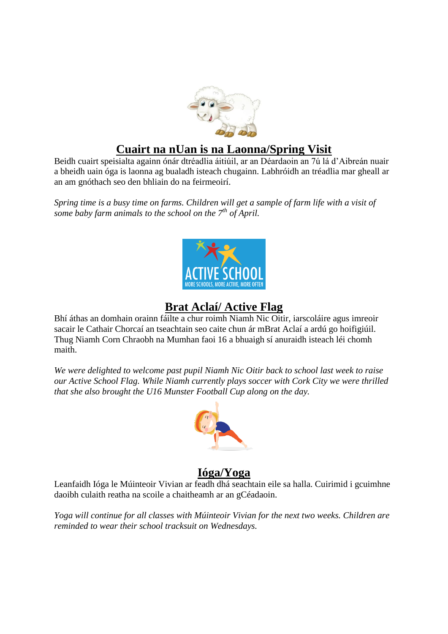

### **Cuairt na nUan is na Laonna/Spring Visit**

Beidh cuairt speisialta againn ónár dtréadlia áitiúil, ar an Déardaoin an 7ú lá d'Aibreán nuair a bheidh uain óga is laonna ag bualadh isteach chugainn. Labhróidh an tréadlia mar gheall ar an am gnóthach seo den bhliain do na feirmeoirí.

*Spring time is a busy time on farms. Children will get a sample of farm life with a visit of some baby farm animals to the school on the 7th of April.* 



## **Brat Aclaí/ Active Flag**

Bhí áthas an domhain orainn fáilte a chur roimh Niamh Nic Oitir, iarscoláire agus imreoir sacair le Cathair Chorcaí an tseachtain seo caite chun ár mBrat Aclaí a ardú go hoifigiúil. Thug Niamh Corn Chraobh na Mumhan faoi 16 a bhuaigh sí anuraidh isteach léi chomh maith.

*We were delighted to welcome past pupil Niamh Nic Oitir back to school last week to raise our Active School Flag. While Niamh currently plays soccer with Cork City we were thrilled that she also brought the U16 Munster Football Cup along on the day.*



### **Ióga/Yoga**

Leanfaidh Ióga le Múinteoir Vivian ar feadh dhá seachtain eile sa halla. Cuirimid i gcuimhne daoibh culaith reatha na scoile a chaitheamh ar an gCéadaoin.

*Yoga will continue for all classes with Múinteoir Vivian for the next two weeks. Children are reminded to wear their school tracksuit on Wednesdays.*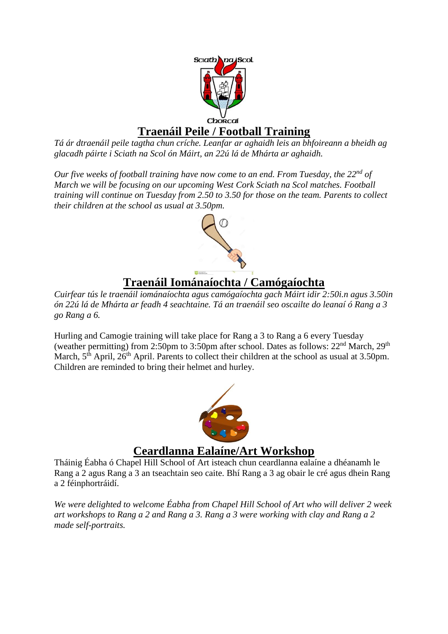

*Tá ár dtraenáil peile tagtha chun críche. Leanfar ar aghaidh leis an bhfoireann a bheidh ag glacadh páirte i Sciath na Scol ón Máirt, an 22ú lá de Mhárta ar aghaidh.* 

*Our five weeks of football training have now come to an end. From Tuesday, the 22nd of March we will be focusing on our upcoming West Cork Sciath na Scol matches. Football training will continue on Tuesday from 2.50 to 3.50 for those on the team. Parents to collect their children at the school as usual at 3.50pm.*



# **Traenáil Iománaíochta / Camógaíochta**

*Cuirfear tús le traenáil iománaíochta agus camógaíochta gach Máirt idir 2:50i.n agus 3.50in ón 22ú lá de Mhárta ar feadh 4 seachtaine. Tá an traenáil seo oscailte do leanaí ó Rang a 3 go Rang a 6.*

Hurling and Camogie training will take place for Rang a 3 to Rang a 6 every Tuesday (weather permitting) from 2:50pm to 3:50pm after school. Dates as follows:  $22<sup>nd</sup> March, 29<sup>th</sup>$ March, 5<sup>th</sup> April, 26<sup>th</sup> April. Parents to collect their children at the school as usual at 3.50pm. Children are reminded to bring their helmet and hurley.



#### **Ceardlanna Ealaíne/Art Workshop**

Tháinig Éabha ó Chapel Hill School of Art isteach chun ceardlanna ealaíne a dhéanamh le Rang a 2 agus Rang a 3 an tseachtain seo caite. Bhí Rang a 3 ag obair le cré agus dhein Rang a 2 féinphortráidí.

*We were delighted to welcome Éabha from Chapel Hill School of Art who will deliver 2 week art workshops to Rang a 2 and Rang a 3. Rang a 3 were working with clay and Rang a 2 made self-portraits.*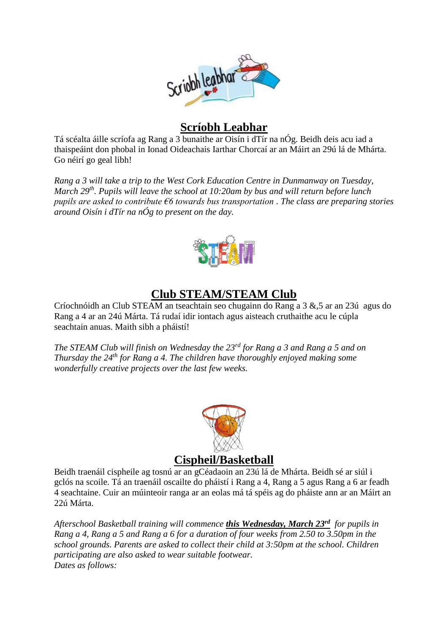

### **Scríobh Leabhar**

Tá scéalta áille scríofa ag Rang a 3 bunaithe ar Oisín i dTír na nÓg. Beidh deis acu iad a thaispeáint don phobal in Ionad Oideachais Iarthar Chorcaí ar an Máirt an 29ú lá de Mhárta. Go néirí go geal libh!

*Rang a 3 will take a trip to the West Cork Education Centre in Dunmanway on Tuesday, March 29th. Pupils will leave the school at 10:20am by bus and will return before lunch pupils are asked to contribute €6 towards bus transportation . The class are preparing stories around Oisín i dTír na nÓg to present on the day.*



# **Club STEAM/STEAM Club**

Críochnóidh an Club STEAM an tseachtain seo chugainn do Rang a 3 &,5 ar an 23ú agus do Rang a 4 ar an 24ú Márta. Tá rudaí idir iontach agus aisteach cruthaithe acu le cúpla seachtain anuas. Maith sibh a pháistí!

*The STEAM Club will finish on Wednesday the 23rd for Rang a 3 and Rang a 5 and on Thursday the 24th for Rang a 4. The children have thoroughly enjoyed making some wonderfully creative projects over the last few weeks.* 



#### **Cispheil/Basketball**

Beidh traenáil cispheile ag tosnú ar an gCéadaoin an 23ú lá de Mhárta. Beidh sé ar siúl i gclós na scoile. Tá an traenáil oscailte do pháistí i Rang a 4, Rang a 5 agus Rang a 6 ar feadh 4 seachtaine. Cuir an múinteoir ranga ar an eolas má tá spéis ag do pháiste ann ar an Máirt an 22ú Márta.

*Afterschool Basketball training will commence this Wednesday, March 23rd for pupils in Rang a 4, Rang a 5 and Rang a 6 for a duration of four weeks from 2.50 to 3.50pm in the school grounds. Parents are asked to collect their child at 3:50pm at the school. Children participating are also asked to wear suitable footwear. Dates as follows:*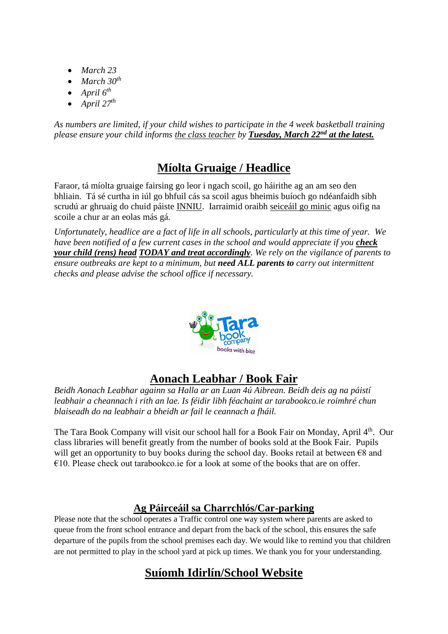- *March 23*
- *March 30th*
- *April 6th*
- April  $27^{th}$

*As numbers are limited, if your child wishes to participate in the 4 week basketball training please ensure your child informs the class teacher by Tuesday, March 22nd at the latest.*

# **Míolta Gruaige / Headlice**

Faraor, tá míolta gruaige fairsing go leor i ngach scoil, go háirithe ag an am seo den bhliain. Tá sé curtha in iúl go bhfuil cás sa scoil agus bheimis buíoch go ndéanfaidh sibh scrudú ar ghruaig do chuid páiste INNIU. Iarraimid oraibh seiceáil go minic agus oifig na scoile a chur ar an eolas más gá.

*Unfortunately, headlice are a fact of life in all schools, particularly at this time of year. We have been notified of a few current cases in the school and would appreciate if you check your child (rens) head TODAY and treat accordingly. We rely on the vigilance of parents to ensure outbreaks are kept to a minimum, but need ALL parents to carry out intermittent checks and please advise the school office if necessary.*



# **Aonach Leabhar / Book Fair**

*Beidh Aonach Leabhar againn sa Halla ar an Luan 4ú Aibrean. Beidh deis ag na páistí leabhair a cheannach i rith an lae. Is féidir libh féachaint ar tarabookco.ie roimhré chun blaiseadh do na leabhair a bheidh ar fail le ceannach a fháil.*

The Tara Book Company will visit our school hall for a Book Fair on Monday, April 4<sup>th</sup>. Our class libraries will benefit greatly from the number of books sold at the Book Fair. Pupils will get an opportunity to buy books during the school day. Books retail at between  $\epsilon$ 8 and  $\epsilon$ 10. Please check out tarabookco.ie for a look at some of the books that are on offer.

#### **Ag Páirceáil sa Charrchlós/Car-parking**

Please note that the school operates a Traffic control one way system where parents are asked to queue from the front school entrance and depart from the back of the school, this ensures the safe departure of the pupils from the school premises each day. We would like to remind you that children are not permitted to play in the school yard at pick up times. We thank you for your understanding.

# **Suíomh Idirlín/School Website**